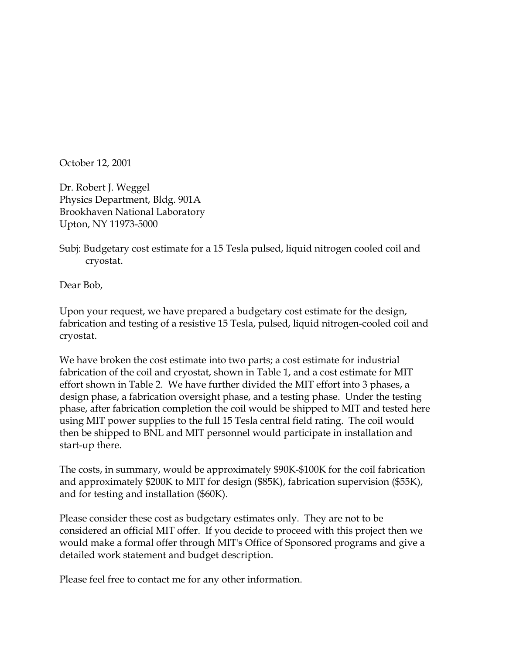October 12, 2001

Dr. Robert J. Weggel Physics Department, Bldg. 901A Brookhaven National Laboratory Upton, NY 11973-5000

Subj: Budgetary cost estimate for a 15 Tesla pulsed, liquid nitrogen cooled coil and cryostat.

Dear Bob,

Upon your request, we have prepared a budgetary cost estimate for the design, fabrication and testing of a resistive 15 Tesla, pulsed, liquid nitrogen-cooled coil and cryostat.

We have broken the cost estimate into two parts; a cost estimate for industrial fabrication of the coil and cryostat, shown in Table 1, and a cost estimate for MIT effort shown in Table 2. We have further divided the MIT effort into 3 phases, a design phase, a fabrication oversight phase, and a testing phase. Under the testing phase, after fabrication completion the coil would be shipped to MIT and tested here using MIT power supplies to the full 15 Tesla central field rating. The coil would then be shipped to BNL and MIT personnel would participate in installation and start-up there.

The costs, in summary, would be approximately \$90K-\$100K for the coil fabrication and approximately \$200K to MIT for design (\$85K), fabrication supervision (\$55K), and for testing and installation (\$60K).

Please consider these cost as budgetary estimates only. They are not to be considered an official MIT offer. If you decide to proceed with this project then we would make a formal offer through MIT's Office of Sponsored programs and give a detailed work statement and budget description.

Please feel free to contact me for any other information.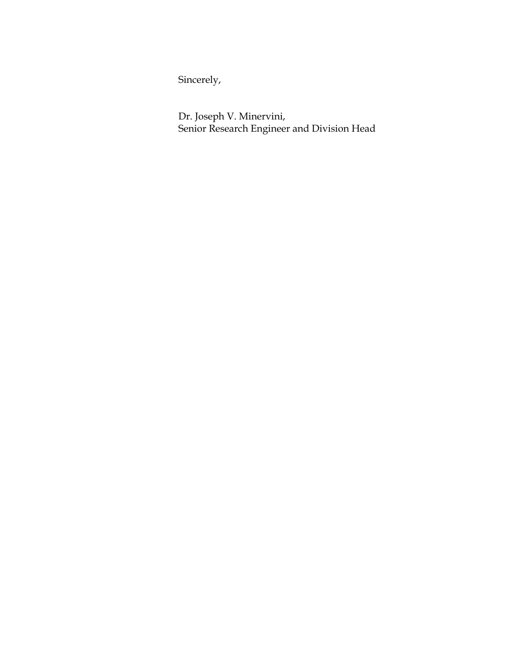Sincerely,

Dr. Joseph V. Minervini, Senior Research Engineer and Division Head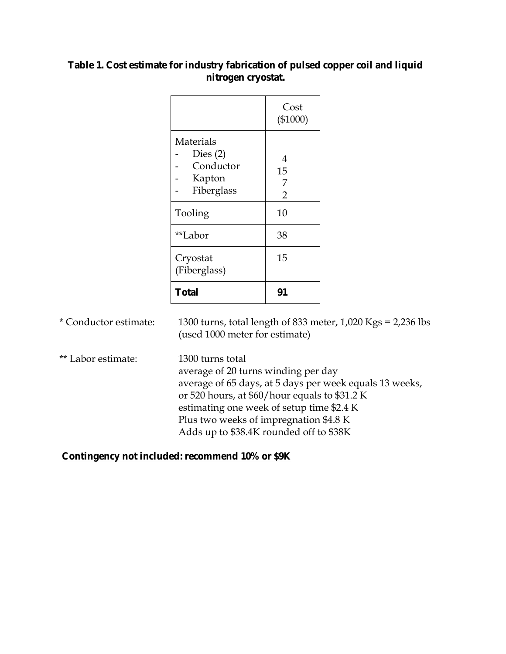## **Table 1. Cost estimate for industry fabrication of pulsed copper coil and liquid nitrogen cryostat.**

|                                                              | Cost<br>$(\$1000)$ |
|--------------------------------------------------------------|--------------------|
| Materials<br>Dies $(2)$<br>Conductor<br>Kapton<br>Fiberglass | 4<br>15<br>7<br>2  |
| Tooling                                                      | 10                 |
| **Labor                                                      | 38                 |
| Cryostat<br>(Fiberglass)                                     | 15                 |
| <b>Total</b>                                                 |                    |

\* Conductor estimate: 1300 turns, total length of 833 meter, 1,020 Kgs = 2,236 lbs (used 1000 meter for estimate)

\*\* Labor estimate: 1300 turns total average of 20 turns winding per day average of 65 days, at 5 days per week equals 13 weeks, or 520 hours, at \$60/hour equals to \$31.2 K estimating one week of setup time \$2.4 K Plus two weeks of impregnation \$4.8 K Adds up to \$38.4K rounded off to \$38K

## **Contingency not included: recommend 10% or \$9K**